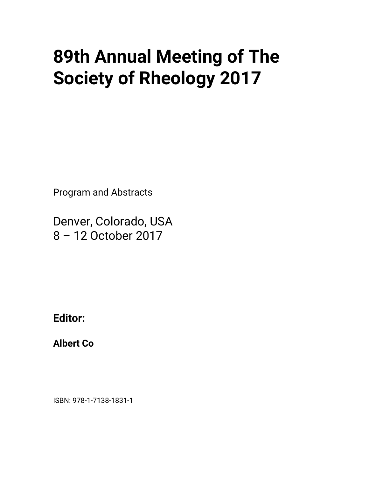## • **89th Annual Meeting of The Society of Rheology 2017**

Program and Abstracts

Denver, Colorado, USA 8 – 12 October 2017

**Editor:**

**Albert Co**

ISBN: 978-1-7138-1831-1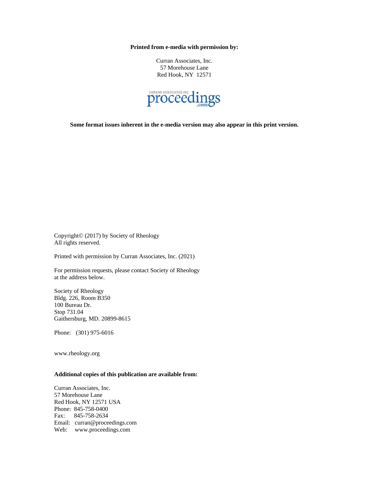**Printed from e-media with permission by:**

Curran Associates, Inc. 57 Morehouse Lane Red Hook, NY 12571



**Some format issues inherent in the e-media version may also appear in this print version.**

Copyright© (2017) by Society of Rheology All rights reserved.

Printed with permission by Curran Associates, Inc. (2021)

For permission requests, please contact Society of Rheology at the address below.

Society of Rheology Bldg. 226, Room B350 100 Bureau Dr. Stop 731.04 Gaithersburg, MD. 20899-8615

Phone: (301) 975-6016

www.rheology.org

## **Additional copies of this publication are available from:**

Curran Associates, Inc. 57 Morehouse Lane Red Hook, NY 12571 USA Phone: 845-758-0400 Fax: 845-758-2634 Email: curran@proceedings.com Web: www.proceedings.com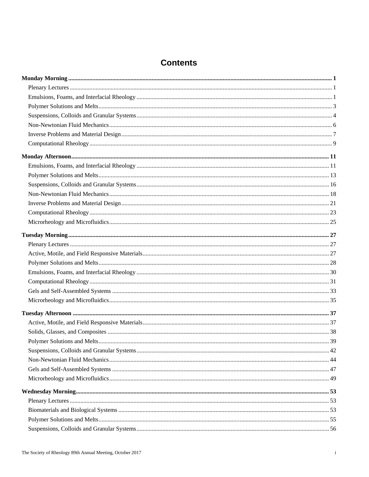## **Contents**